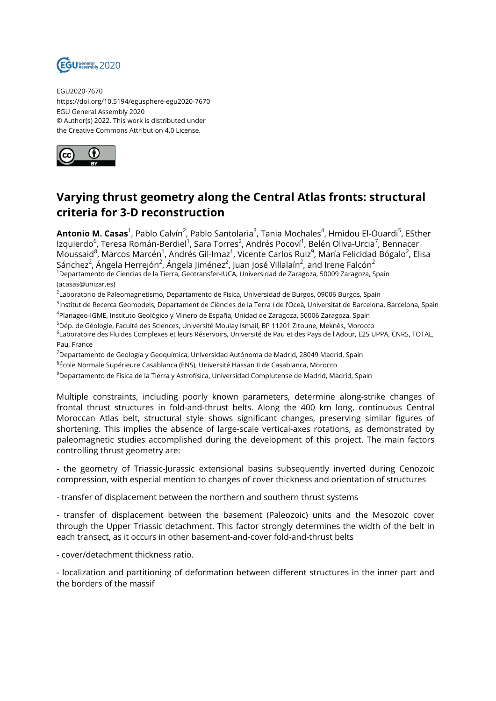

EGU2020-7670 https://doi.org/10.5194/egusphere-egu2020-7670 EGU General Assembly 2020 © Author(s) 2022. This work is distributed under the Creative Commons Attribution 4.0 License.



## **Varying thrust geometry along the Central Atlas fronts: structural criteria for 3-D reconstruction**

**Antonio M. Casas**<sup>1</sup>, Pablo Calvín<sup>2</sup>, Pablo Santolaria<sup>3</sup>, Tania Mochales<sup>4</sup>, Hmidou El-Ouardi<sup>5</sup>, ESther lzquierdo<sup>6</sup>, Teresa Román-Berdiel<sup>1</sup>, Sara Torres<sup>2</sup>, Andrés Pocoví<sup>1</sup>, Belén Oliva-Urcia<sup>7</sup>, Bennacer Moussaid $^8$ , Marcos Marcén $^1$ , Andrés Gil-Imaz $^1$ , Vicente Carlos Ruiz $^9$ , María Felicidad Bógalo $^2$ , Elisa Sánchez $^2$ , Ángela Herrejón $^2$ , Ángela Jiménez $^2$ , Juan José Villalaín $^2$ , and Irene Falcón $^2$ <sup>1</sup>Departamento de Ciencias de la Tierra, Geotransfer-IUCA, Universidad de Zaragoza, 50009 Zaragoza, Spain (acasas@unizar.es)

<sup>2</sup>Laboratorio de Paleomagnetismo, Departamento de Física, Universidad de Burgos, 09006 Burgos, Spain

<sup>3</sup>lnstitut de Recerca Geomodels, Departament de Ciències de la Terra i de l'Oceà, Universitat de Barcelona, Barcelona, Spain 4 Planageo-IGME, Instituto Geológico y Minero de España, Unidad de Zaragoza, 50006 Zaragoza, Spain

<sup>5</sup>Dép. de Géologie, Faculté des Sciences, Université Moulay Ismail, BP 11201 Zitoune, Meknès, Morocco  $^6$ Laboratoire des Fluides Complexes et leurs Réservoirs, Université de Pau et des Pays de l'Adour, E2S UPPA, CNRS, TOTAL, Pau, France

<sup>7</sup>Departamento de Geología y Geoquímica, Universidad Autónoma de Madrid, 28049 Madrid, Spain

 $^8$ École Normale Supérieure Casablanca (ENS), Université Hassan II de Casablanca, Morocco

<sup>9</sup>Departamento de Física de la Tierra y Astrofísica, Universidad Complutense de Madrid, Madrid, Spain

Multiple constraints, including poorly known parameters, determine along-strike changes of frontal thrust structures in fold-and-thrust belts. Along the 400 km long, continuous Central Moroccan Atlas belt, structural style shows significant changes, preserving similar figures of shortening. This implies the absence of large-scale vertical-axes rotations, as demonstrated by paleomagnetic studies accomplished during the development of this project. The main factors controlling thrust geometry are:

- the geometry of Triassic-Jurassic extensional basins subsequently inverted during Cenozoic compression, with especial mention to changes of cover thickness and orientation of structures

- transfer of displacement between the northern and southern thrust systems

- transfer of displacement between the basement (Paleozoic) units and the Mesozoic cover through the Upper Triassic detachment. This factor strongly determines the width of the belt in each transect, as it occurs in other basement-and-cover fold-and-thrust belts

- cover/detachment thickness ratio.

- localization and partitioning of deformation between different structures in the inner part and the borders of the massif